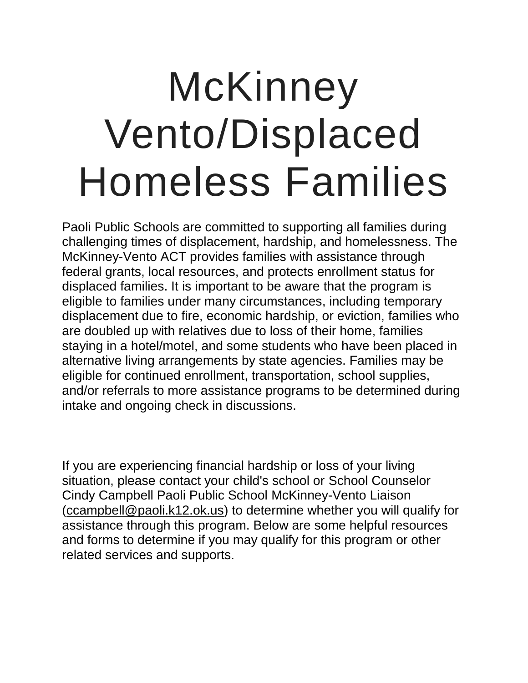## **McKinney** Vento/Displaced Homeless Families

Paoli Public Schools are committed to supporting all families during challenging times of displacement, hardship, and homelessness. The McKinney-Vento ACT provides families with assistance through federal grants, local resources, and protects enrollment status for displaced families. It is important to be aware that the program is eligible to families under many circumstances, including temporary displacement due to fire, economic hardship, or eviction, families who are doubled up with relatives due to loss of their home, families staying in a hotel/motel, and some students who have been placed in alternative living arrangements by state agencies. Families may be eligible for continued enrollment, transportation, school supplies, and/or referrals to more assistance programs to be determined during [intake and ongoing check in discussions.](https://sites.google.com/wayneschools.com/wtps-sss/welcome/federal-programs/mckinney-ventodisplaced-families#h.ahqodxhl6016) 

If you are experiencing financial hardship or loss of your living situation, please contact your child's school or School Counselor Cindy Campbell Paoli Public School McKinney-Vento Liaison (ccampbell@paoli.k12.ok.us) to determine whether you will qualify for assistance through this program. Below are some helpful resources and forms to determine if you may qualify for this program or other related services and supports.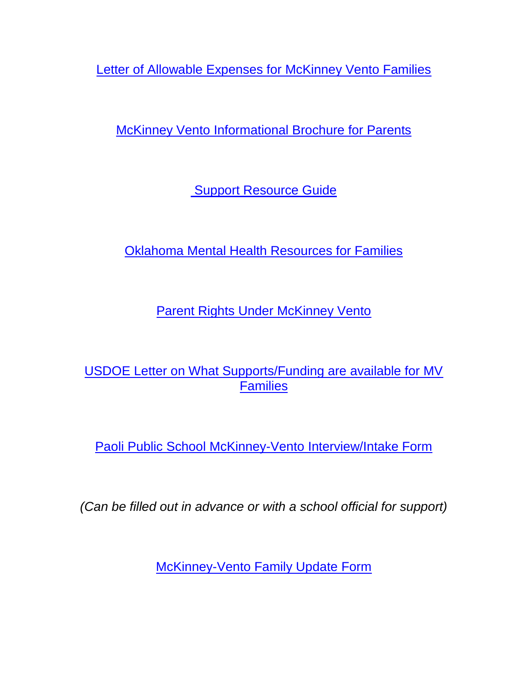[Letter of Allowable Expenses for McKinney Vento Families](https://drive.google.com/drive/folders/16usdfWNKeOoyK6oyEHXJRzT9M9wVn2Lv)

[McKinney Vento Informational Brochure for Parents](https://drive.google.com/file/d/10CwXtYfSFDCMO2FNEmnf_md5qWtbEdH5/view?usp=sharing)

[Support Resource Guide](https://drive.google.com/file/d/1k7wCNYkVmfmaqmc5XAXp1Cw1G6wnXD3M/view?usp=sharing)

Oklahoma [Mental Health Resources for Families](https://drive.google.com/file/d/1k7BRIZK3y10q0NbKQX992IQqZAJ6vswh/view?usp=sharing)

**[Parent Rights Under McKinney Vento](https://drive.google.com/file/d/14wn8mTXRAT0tsEk-Tzg3qQ9lYq2KgLnY/view?usp=sharing)** 

[USDOE Letter on What Supports/Funding are available for MV](https://drive.google.com/file/d/1JRn981vJJKWl1wL-LtM-pcc5bRz21wu1/view?usp=sharing)  **[Families](https://drive.google.com/file/d/1JRn981vJJKWl1wL-LtM-pcc5bRz21wu1/view?usp=sharing)** 

Paoli [Public School McKinney-Vento Interview/Intake Form](https://drive.google.com/file/d/18iXJVcNOYEbzpO3IaVknmaxrkkR1T8Wy/view?usp=sharing)

*(Can be filled out in advance or with a school official for support)*

[McKinney-Vento Family Update Form](https://drive.google.com/file/d/1F6iMVg0vzIZ5b85sQObVKjaMeiVB2p_6/view?usp=sharing)